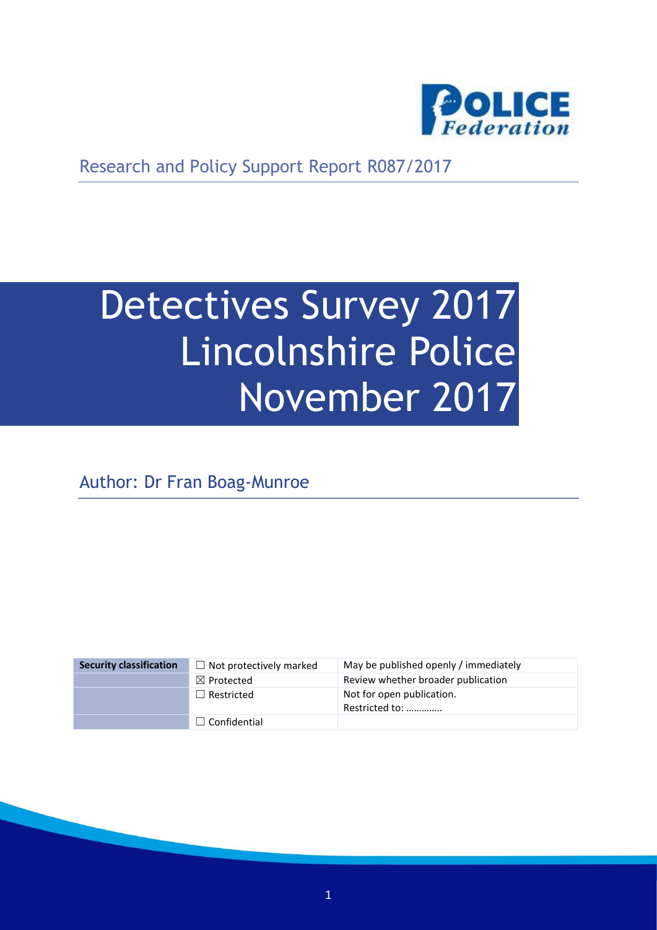

Research and Policy Support Report R087/2017

# Detectives Survey 2017 Lincolnshire Police November 2017

Author: Dr Fran Boag-Munroe

| <b>Security classification</b> | $\Box$ Not protectively marked | May be published openly / immediately       |
|--------------------------------|--------------------------------|---------------------------------------------|
|                                | $\boxtimes$ Protected          | Review whether broader publication          |
|                                | $\Box$ Restricted              | Not for open publication.<br>Restricted to: |
|                                | $\Box$ Confidential            |                                             |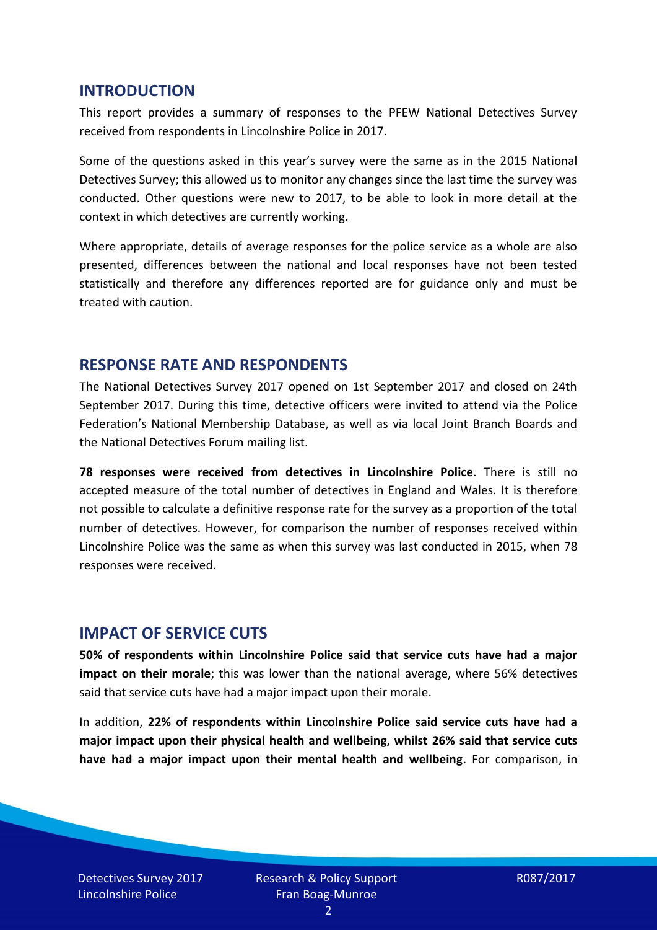#### **INTRODUCTION**

This report provides a summary of responses to the PFEW National Detectives Survey received from respondents in Lincolnshire Police in 2017.

Some of the questions asked in this year's survey were the same as in the 2015 National Detectives Survey; this allowed us to monitor any changes since the last time the survey was conducted. Other questions were new to 2017, to be able to look in more detail at the context in which detectives are currently working.

Where appropriate, details of average responses for the police service as a whole are also presented, differences between the national and local responses have not been tested statistically and therefore any differences reported are for guidance only and must be treated with caution.

#### **RESPONSE RATE AND RESPONDENTS**

The National Detectives Survey 2017 opened on 1st September 2017 and closed on 24th September 2017. During this time, detective officers were invited to attend via the Police Federation's National Membership Database, as well as via local Joint Branch Boards and the National Detectives Forum mailing list.

**78 responses were received from detectives in Lincolnshire Police**. There is still no accepted measure of the total number of detectives in England and Wales. It is therefore not possible to calculate a definitive response rate for the survey as a proportion of the total number of detectives. However, for comparison the number of responses received within Lincolnshire Police was the same as when this survey was last conducted in 2015, when 78 responses were received.

## **IMPACT OF SERVICE CUTS**

**50% of respondents within Lincolnshire Police said that service cuts have had a major impact on their morale**; this was lower than the national average, where 56% detectives said that service cuts have had a major impact upon their morale.

In addition, **22% of respondents within Lincolnshire Police said service cuts have had a major impact upon their physical health and wellbeing, whilst 26% said that service cuts have had a major impact upon their mental health and wellbeing**. For comparison, in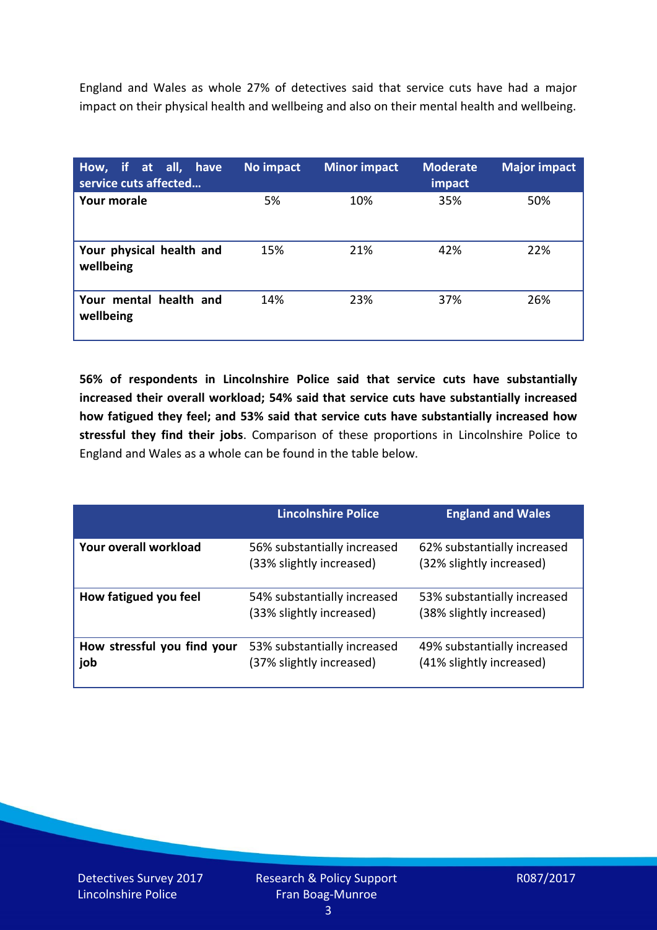England and Wales as whole 27% of detectives said that service cuts have had a major impact on their physical health and wellbeing and also on their mental health and wellbeing.

| How, if at all, have<br>service cuts affected | No impact | <b>Minor impact</b> | <b>Moderate</b><br>impact | <b>Major impact</b> |
|-----------------------------------------------|-----------|---------------------|---------------------------|---------------------|
| Your morale                                   | 5%        | 10%                 | 35%                       | 50%                 |
| Your physical health and<br>wellbeing         | 15%       | 21%                 | 42%                       | 22%                 |
| Your mental health and<br>wellbeing           | 14%       | 23%                 | 37%                       | 26%                 |

**56% of respondents in Lincolnshire Police said that service cuts have substantially increased their overall workload; 54% said that service cuts have substantially increased how fatigued they feel; and 53% said that service cuts have substantially increased how stressful they find their jobs**. Comparison of these proportions in Lincolnshire Police to England and Wales as a whole can be found in the table below.

|                                    | <b>Lincolnshire Police</b>                              | <b>England and Wales</b>                                |
|------------------------------------|---------------------------------------------------------|---------------------------------------------------------|
| Your overall workload              | 56% substantially increased<br>(33% slightly increased) | 62% substantially increased<br>(32% slightly increased) |
| How fatigued you feel              | 54% substantially increased<br>(33% slightly increased) | 53% substantially increased<br>(38% slightly increased) |
| How stressful you find your<br>job | 53% substantially increased<br>(37% slightly increased) | 49% substantially increased<br>(41% slightly increased) |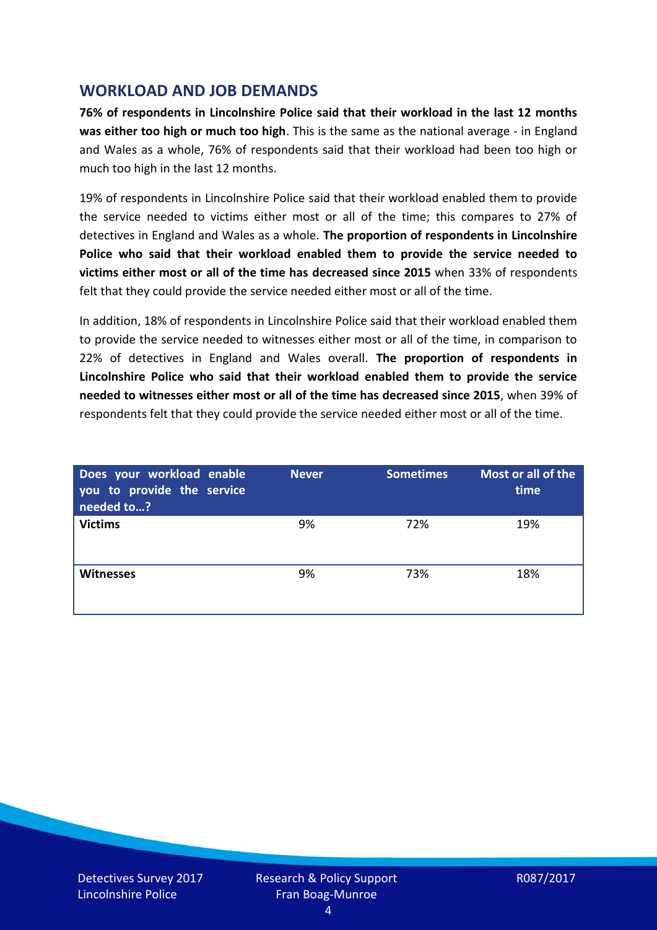## **WORKLOAD AND JOB DEMANDS**

**76% of respondents in Lincolnshire Police said that their workload in the last 12 months was either too high or much too high**. This is the same as the national average - in England and Wales as a whole, 76% of respondents said that their workload had been too high or much too high in the last 12 months.

19% of respondents in Lincolnshire Police said that their workload enabled them to provide the service needed to victims either most or all of the time; this compares to 27% of detectives in England and Wales as a whole. **The proportion of respondents in Lincolnshire Police who said that their workload enabled them to provide the service needed to victims either most or all of the time has decreased since 2015** when 33% of respondents felt that they could provide the service needed either most or all of the time.

In addition, 18% of respondents in Lincolnshire Police said that their workload enabled them to provide the service needed to witnesses either most or all of the time, in comparison to 22% of detectives in England and Wales overall. **The proportion of respondents in Lincolnshire Police who said that their workload enabled them to provide the service needed to witnesses either most or all of the time has decreased since 2015**, when 39% of respondents felt that they could provide the service needed either most or all of the time.

| Does your workload enable<br>you to provide the service<br>needed to? | <b>Never</b> | <b>Sometimes</b> | Most or all of the<br>time |
|-----------------------------------------------------------------------|--------------|------------------|----------------------------|
| <b>Victims</b>                                                        | 9%           | 72%              | 19%                        |
| <b>Witnesses</b>                                                      | 9%           | 73%              | 18%                        |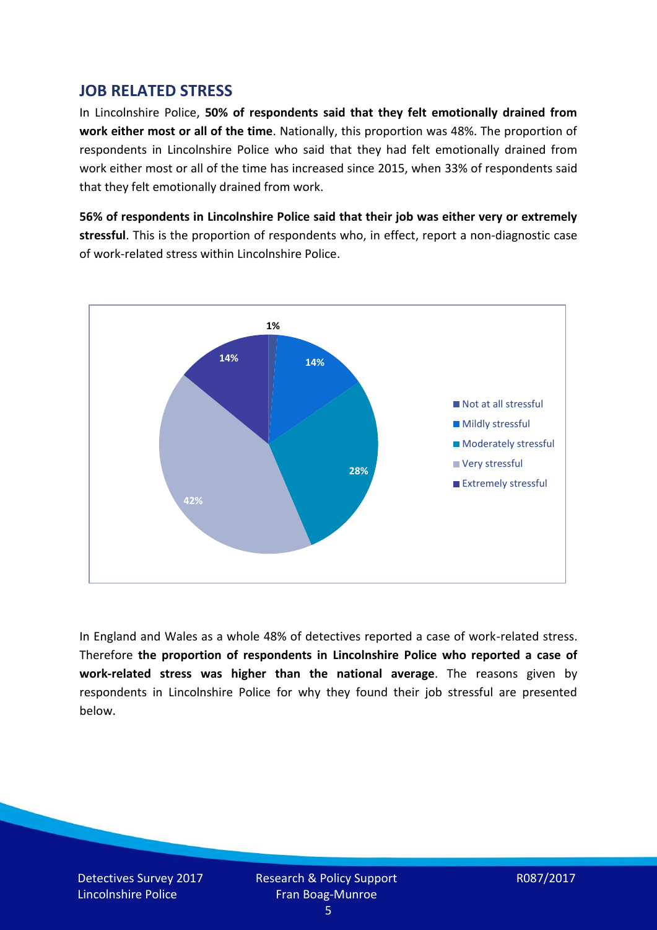## **JOB RELATED STRESS**

In Lincolnshire Police, **50% of respondents said that they felt emotionally drained from work either most or all of the time**. Nationally, this proportion was 48%. The proportion of respondents in Lincolnshire Police who said that they had felt emotionally drained from work either most or all of the time has increased since 2015, when 33% of respondents said that they felt emotionally drained from work.

**56% of respondents in Lincolnshire Police said that their job was either very or extremely stressful**. This is the proportion of respondents who, in effect, report a non-diagnostic case of work-related stress within Lincolnshire Police.



In England and Wales as a whole 48% of detectives reported a case of work-related stress. Therefore **the proportion of respondents in Lincolnshire Police who reported a case of work-related stress was higher than the national average**. The reasons given by respondents in Lincolnshire Police for why they found their job stressful are presented below.

Detectives Survey 2017 Lincolnshire Police

Research & Policy Support Fran Boag-Munroe

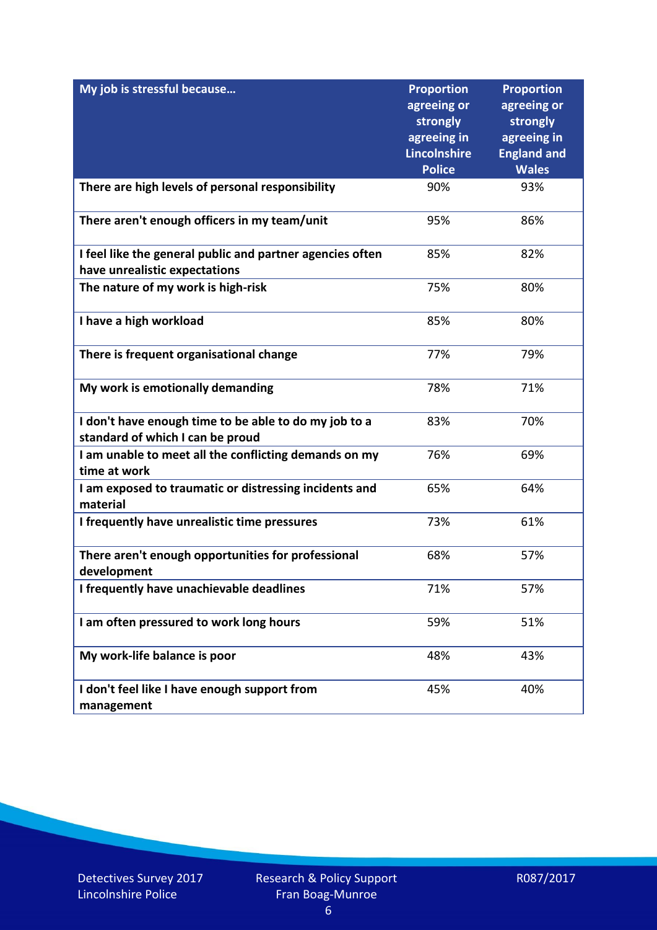| My job is stressful because                                                               | <b>Proportion</b><br>agreeing or<br>strongly<br>agreeing in<br>Lincolnshire | <b>Proportion</b><br>agreeing or<br>strongly<br>agreeing in<br><b>England and</b> |
|-------------------------------------------------------------------------------------------|-----------------------------------------------------------------------------|-----------------------------------------------------------------------------------|
| There are high levels of personal responsibility                                          | <b>Police</b><br>90%                                                        | <b>Wales</b><br>93%                                                               |
|                                                                                           |                                                                             |                                                                                   |
| There aren't enough officers in my team/unit                                              | 95%                                                                         | 86%                                                                               |
| I feel like the general public and partner agencies often                                 | 85%                                                                         | 82%                                                                               |
| have unrealistic expectations                                                             |                                                                             |                                                                                   |
| The nature of my work is high-risk                                                        | 75%                                                                         | 80%                                                                               |
| I have a high workload                                                                    | 85%                                                                         | 80%                                                                               |
| There is frequent organisational change                                                   | 77%                                                                         | 79%                                                                               |
| My work is emotionally demanding                                                          | 78%                                                                         | 71%                                                                               |
| I don't have enough time to be able to do my job to a<br>standard of which I can be proud | 83%                                                                         | 70%                                                                               |
| I am unable to meet all the conflicting demands on my<br>time at work                     | 76%                                                                         | 69%                                                                               |
| I am exposed to traumatic or distressing incidents and<br>material                        | 65%                                                                         | 64%                                                                               |
| I frequently have unrealistic time pressures                                              | 73%                                                                         | 61%                                                                               |
| There aren't enough opportunities for professional<br>development                         | 68%                                                                         | 57%                                                                               |
| I frequently have unachievable deadlines                                                  | 71%                                                                         | 57%                                                                               |
| I am often pressured to work long hours                                                   | 59%                                                                         | 51%                                                                               |
| My work-life balance is poor                                                              | 48%                                                                         | 43%                                                                               |
| I don't feel like I have enough support from<br>management                                | 45%                                                                         | 40%                                                                               |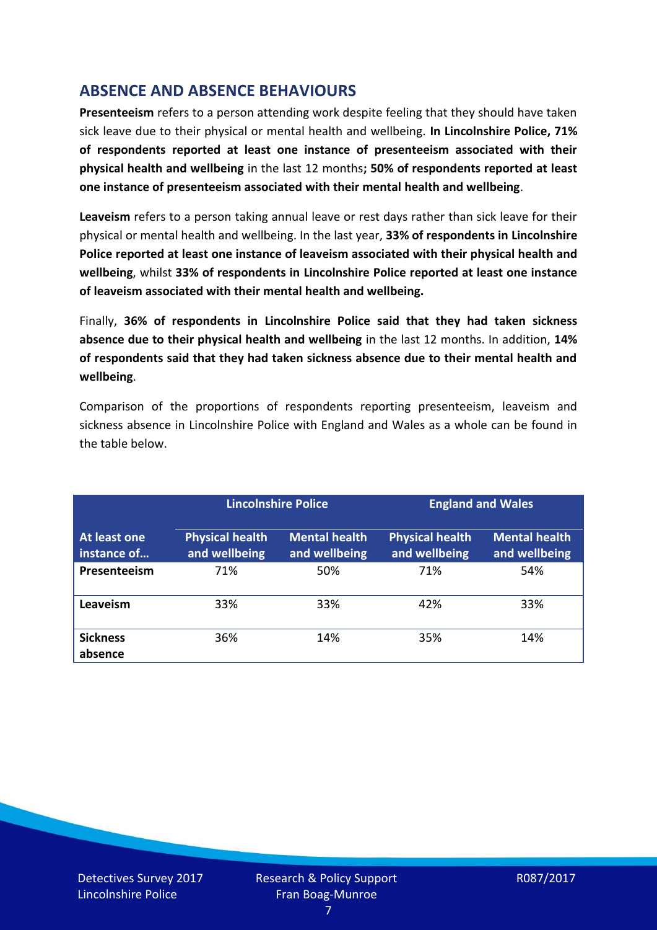# **ABSENCE AND ABSENCE BEHAVIOURS**

**Presenteeism** refers to a person attending work despite feeling that they should have taken sick leave due to their physical or mental health and wellbeing. **In Lincolnshire Police, 71% of respondents reported at least one instance of presenteeism associated with their physical health and wellbeing** in the last 12 months**; 50% of respondents reported at least one instance of presenteeism associated with their mental health and wellbeing**.

**Leaveism** refers to a person taking annual leave or rest days rather than sick leave for their physical or mental health and wellbeing. In the last year, **33% of respondents in Lincolnshire Police reported at least one instance of leaveism associated with their physical health and wellbeing**, whilst **33% of respondents in Lincolnshire Police reported at least one instance of leaveism associated with their mental health and wellbeing.**

Finally, **36% of respondents in Lincolnshire Police said that they had taken sickness absence due to their physical health and wellbeing** in the last 12 months. In addition, **14% of respondents said that they had taken sickness absence due to their mental health and wellbeing**.

Comparison of the proportions of respondents reporting presenteeism, leaveism and sickness absence in Lincolnshire Police with England and Wales as a whole can be found in the table below.

|                             |                                         | <b>Lincolnshire Police</b>            |                                         | <b>England and Wales</b>              |
|-----------------------------|-----------------------------------------|---------------------------------------|-----------------------------------------|---------------------------------------|
| At least one<br>instance of | <b>Physical health</b><br>and wellbeing | <b>Mental health</b><br>and wellbeing | <b>Physical health</b><br>and wellbeing | <b>Mental health</b><br>and wellbeing |
| Presenteeism                | 71%                                     | 50%                                   | 71%                                     | 54%                                   |
| Leaveism                    | 33%                                     | 33%                                   | 42%                                     | 33%                                   |
| <b>Sickness</b><br>absence  | 36%                                     | 14%                                   | 35%                                     | 14%                                   |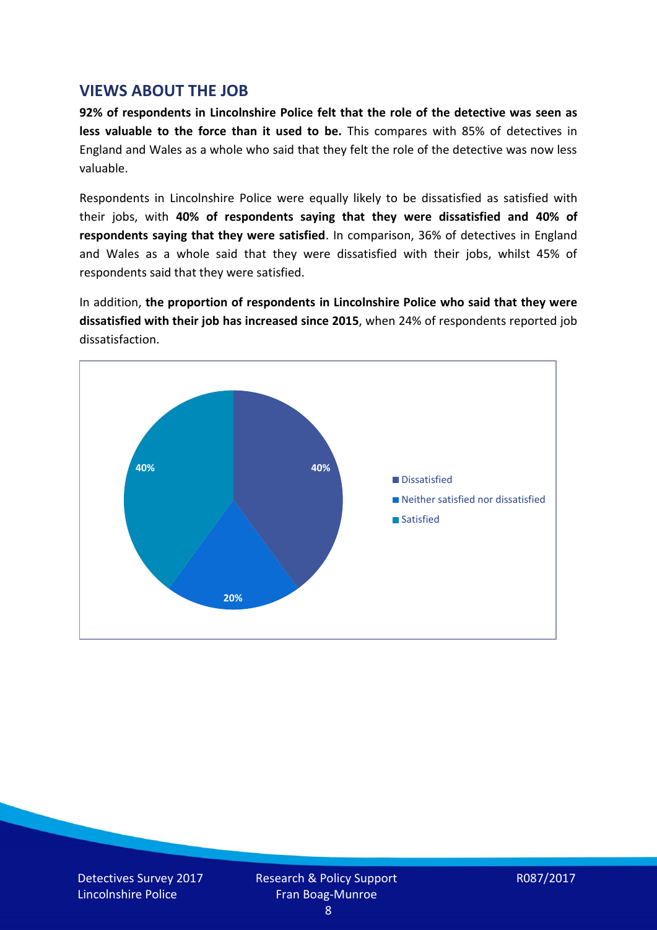#### **VIEWS ABOUT THE JOB**

**92% of respondents in Lincolnshire Police felt that the role of the detective was seen as less valuable to the force than it used to be.** This compares with 85% of detectives in England and Wales as a whole who said that they felt the role of the detective was now less valuable.

Respondents in Lincolnshire Police were equally likely to be dissatisfied as satisfied with their jobs, with **40% of respondents saying that they were dissatisfied and 40% of respondents saying that they were satisfied**. In comparison, 36% of detectives in England and Wales as a whole said that they were dissatisfied with their jobs, whilst 45% of respondents said that they were satisfied.

In addition, **the proportion of respondents in Lincolnshire Police who said that they were dissatisfied with their job has increased since 2015**, when 24% of respondents reported job dissatisfaction.



Detectives Survey 2017 Lincolnshire Police

Research & Policy Support Fran Boag-Munroe

R087/2017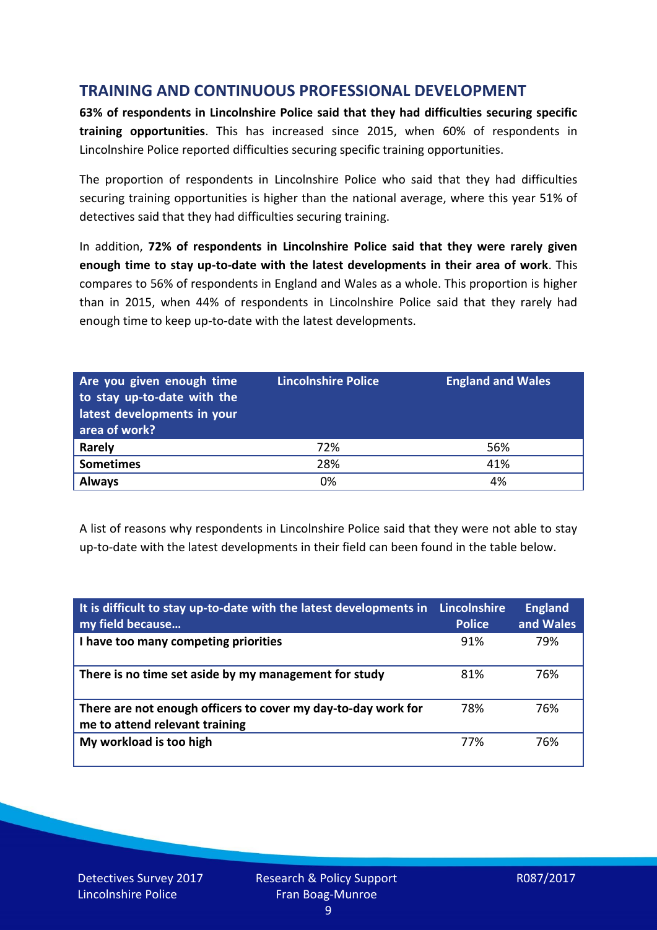# **TRAINING AND CONTINUOUS PROFESSIONAL DEVELOPMENT**

**63% of respondents in Lincolnshire Police said that they had difficulties securing specific training opportunities**. This has increased since 2015, when 60% of respondents in Lincolnshire Police reported difficulties securing specific training opportunities.

The proportion of respondents in Lincolnshire Police who said that they had difficulties securing training opportunities is higher than the national average, where this year 51% of detectives said that they had difficulties securing training.

In addition, **72% of respondents in Lincolnshire Police said that they were rarely given enough time to stay up-to-date with the latest developments in their area of work**. This compares to 56% of respondents in England and Wales as a whole. This proportion is higher than in 2015, when 44% of respondents in Lincolnshire Police said that they rarely had enough time to keep up-to-date with the latest developments.

| Are you given enough time<br>to stay up-to-date with the<br>latest developments in your<br>area of work? | <b>Lincolnshire Police</b> | <b>England and Wales</b> |
|----------------------------------------------------------------------------------------------------------|----------------------------|--------------------------|
| Rarely                                                                                                   | 72%                        | 56%                      |
| <b>Sometimes</b>                                                                                         | 28%                        | 41%                      |
| <b>Always</b>                                                                                            | 0%                         | 4%                       |

A list of reasons why respondents in Lincolnshire Police said that they were not able to stay up-to-date with the latest developments in their field can been found in the table below.

| It is difficult to stay up-to-date with the latest developments in<br>my field because          | <b>Lincolnshire</b><br><b>Police</b> | <b>England</b><br>and Wales |
|-------------------------------------------------------------------------------------------------|--------------------------------------|-----------------------------|
| I have too many competing priorities                                                            | 91%                                  | 79%                         |
| There is no time set aside by my management for study                                           | 81%                                  | 76%                         |
| There are not enough officers to cover my day-to-day work for<br>me to attend relevant training | 78%                                  | 76%                         |
| My workload is too high                                                                         | 77%                                  | 76%                         |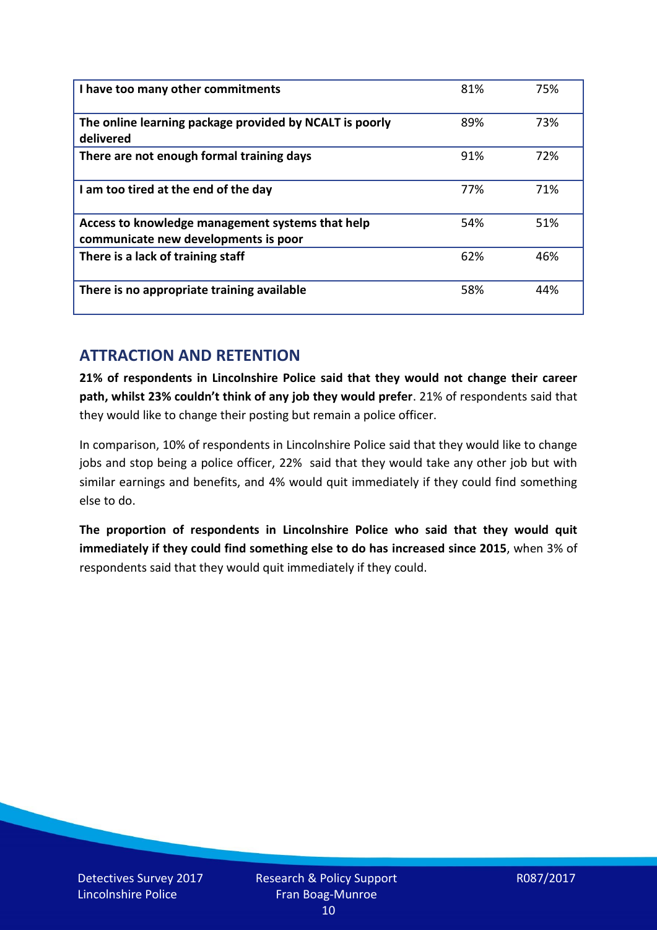| I have too many other commitments                                                        | 81% | 75% |
|------------------------------------------------------------------------------------------|-----|-----|
| The online learning package provided by NCALT is poorly<br>delivered                     | 89% | 73% |
| There are not enough formal training days                                                | 91% | 72% |
| I am too tired at the end of the day                                                     | 77% | 71% |
| Access to knowledge management systems that help<br>communicate new developments is poor | 54% | 51% |
| There is a lack of training staff                                                        | 62% | 46% |
| There is no appropriate training available                                               | 58% | 44% |

# **ATTRACTION AND RETENTION**

**21% of respondents in Lincolnshire Police said that they would not change their career path, whilst 23% couldn't think of any job they would prefer**. 21% of respondents said that they would like to change their posting but remain a police officer.

In comparison, 10% of respondents in Lincolnshire Police said that they would like to change jobs and stop being a police officer, 22% said that they would take any other job but with similar earnings and benefits, and 4% would quit immediately if they could find something else to do.

**The proportion of respondents in Lincolnshire Police who said that they would quit immediately if they could find something else to do has increased since 2015**, when 3% of respondents said that they would quit immediately if they could.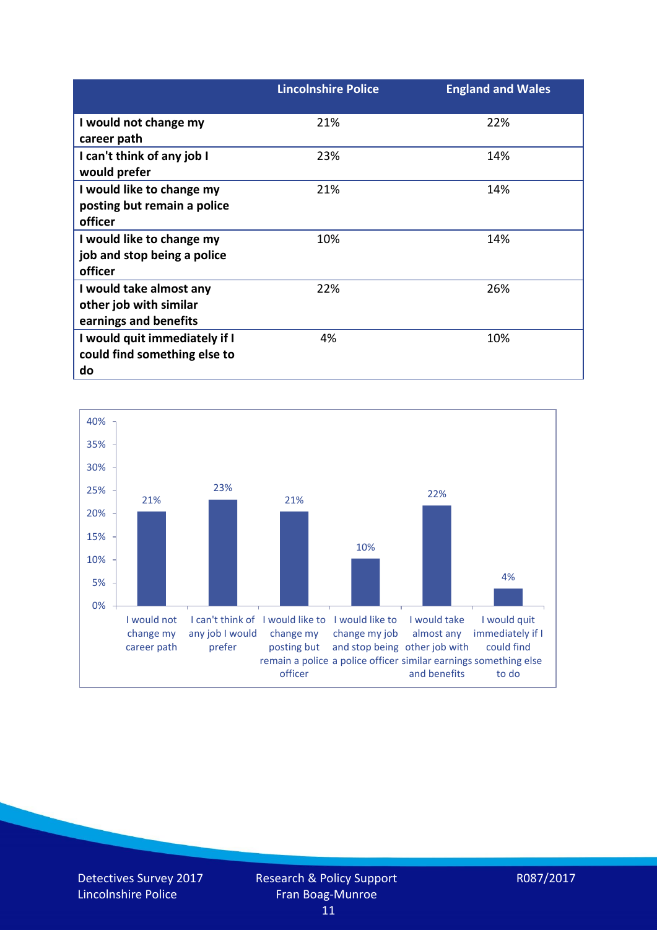|                                                                            | <b>Lincolnshire Police</b> | <b>England and Wales</b> |
|----------------------------------------------------------------------------|----------------------------|--------------------------|
| I would not change my<br>career path                                       | 21%                        | 22%                      |
| I can't think of any job I<br>would prefer                                 | 23%                        | 14%                      |
| I would like to change my<br>posting but remain a police                   | 21%                        | 14%                      |
| officer<br>I would like to change my                                       | 10%                        | 14%                      |
| job and stop being a police<br>officer                                     |                            |                          |
| I would take almost any<br>other job with similar<br>earnings and benefits | 22%                        | 26%                      |
| I would quit immediately if I<br>could find something else to<br>do        | 4%                         | 10%                      |